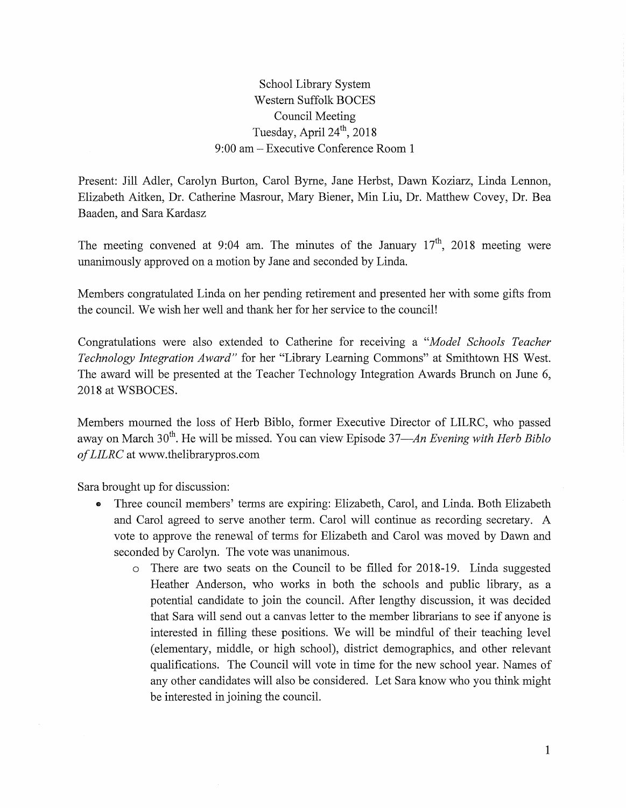School Library System Western Suffolk BOCES Council Meeting Tuesday, April  $24<sup>th</sup>$ , 2018 9:00 am- Executive Conference Room 1

Present: Jill Adler, Carolyn Burton, Carol Byrne, Jane Herbst, Dawn Koziarz, Linda Lennon, Elizabeth Aitken, Dr. Catherine Masrour, Mary Biener, Min Liu, Dr. Matthew Covey, Dr. Bea Baaden, and Sara Kardasz

The meeting convened at 9:04 am. The minutes of the January  $17<sup>th</sup>$ , 2018 meeting were unanimously approved on a motion by Jane and seconded by Linda.

Members congratulated Linda on her pending retirement and presented her with some gifts from the council. We wish her well and thank her for her service to the council!

Congratulations were also extended to Catherine for receiving a *"Model Schools Teacher Technology Integration Award*" for her "Library Learning Commons" at Smithtown HS West. The award will be presented at the Teacher Technology Integration Awards Brunch on June 6, 2018 at WSBOCES.

Members mourned the loss of Herb Biblo, former Executive Director of LILRC, who passed away on March 30<sup>th</sup>. He will be missed. You can view Episode 37—An Evening with Herb Biblo *of LILRC* at www.thelibrarypros.com

Sara brought up for discussion:

- Three council members' terms are expiring: Elizabeth, Carol, and Linda. Both Elizabeth and Carol agreed to serve another term. Carol will continue as recording secretary. A vote to approve the renewal of terms for Elizabeth and Carol was moved by Dawn and seconded by Carolyn. The vote was unanimous.
	- o There are two seats on the Council to be filled for 2018-19. Linda suggested Heather Anderson, who works in both the schools and public library, as a potential candidate to join the council. After lengthy discussion, it was decided that Sara will send out a canvas letter to the member librarians to see if anyone is interested in filling these positions. We will be mindful of their teaching level (elementary, middle, or high school), district demographics, and other relevant qualifications. The Council will vote in time for the new school year. Names of any other candidates will also be considered. Let Sara know who you think might be interested in joining the council.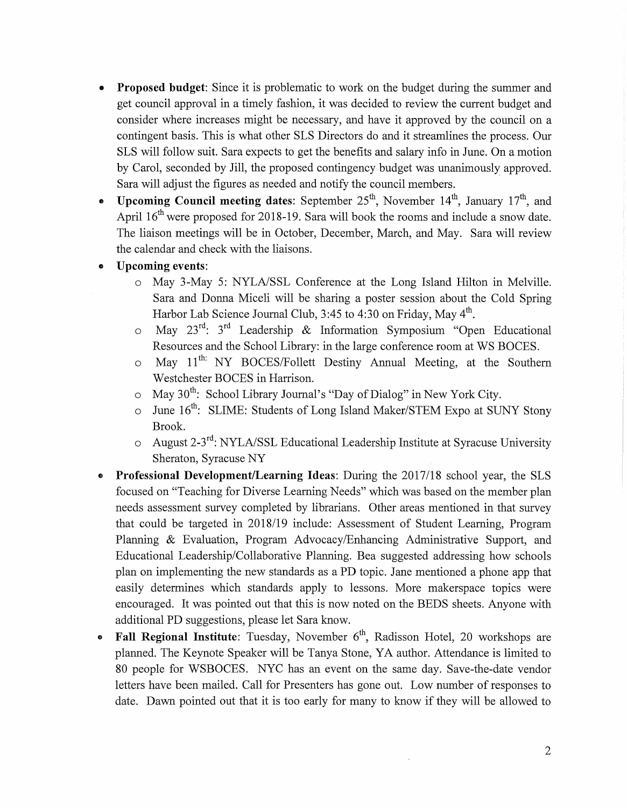- Proposed budget: Since it is problematic to work on the budget during the summer and get council approval in a timely fashion, it was decided to review the current budget and consider where increases might be necessary, and have it approved by the council on a contingent basis. This is what other SLS Directors do and it streamlines the process. Our SLS will follow suit. Sara expects to get the benefits and salary info in June. On a motion by Carol, seconded by Jill, the proposed contingency budget was unanimously approved. Sara will adjust the figures as needed and notify the council members.
- Upcoming Council meeting dates: September  $25^{th}$ , November  $14^{th}$ , January  $17^{th}$ , and April  $16<sup>th</sup>$  were proposed for 2018-19. Sara will book the rooms and include a snow date. The liaison meetings will be in October, December, March, and May. Sara will review the calendar and check with the liaisons.
- Upcoming events:
	- o May 3-May 5: NYLA/SSL Conference at the Long Island Hilton in Melville. Sara and Donna Miceli will be sharing a poster session about the Cold Spring Harbor Lab Science Journal Club, 3:45 to 4:30 on Friday, May 4<sup>th</sup>.
	- $\circ$  May 23<sup>rd</sup>: 3<sup>rd</sup> Leadership & Information Symposium "Open Educational Resources and the School Library: in the large conference room at WS BOCES.
	- o May 11<sup>th:</sup> NY BOCES/Follett Destiny Annual Meeting, at the Southern Westchester BOCES in Harrison.
	- $\circ$  May 30<sup>th</sup>: School Library Journal's "Day of Dialog" in New York City.
	- $\circ$  June 16<sup>th</sup>: SLIME: Students of Long Island Maker/STEM Expo at SUNY Stony Brook.
	- o August 2-3rd: NYLA/SSL Educational Leadership Institute at Syracuse University Sheraton, Syracuse NY
- Professional Development/Learning Ideas: During the 2017/18 school year, the SLS focused on "Teaching for Diverse Learning Needs" which was based on the member plan needs assessment survey completed by librarians. Other areas mentioned in that survey that could be targeted in 2018/19 include: Assessment of Student Learning, Program Planning & Evaluation, Program Advocacy/Enhancing Administrative Support, and Educational Leadership/Collaborative Planning. Bea suggested addressing how schools plan on implementing the new standards as a PD topic. Jane mentioned a phone app that easily determines which standards apply to lessons. More makerspace topics were encouraged. It was pointed out that this is now noted on the BEDS sheets. Anyone with additional PD suggestions, please let Sara know.
- Fall Regional Institute: Tuesday, November  $6<sup>th</sup>$ , Radisson Hotel, 20 workshops are planned. The Keynote Speaker will be Tanya Stone, YA author. Attendance is limited to 80 people for WSBOCES. NYC has an event on the same day. Save-the-date vendor letters have been mailed. Call for Presenters has gone out. Low number of responses to date. Dawn pointed out that it is too early for many to know if they will be allowed to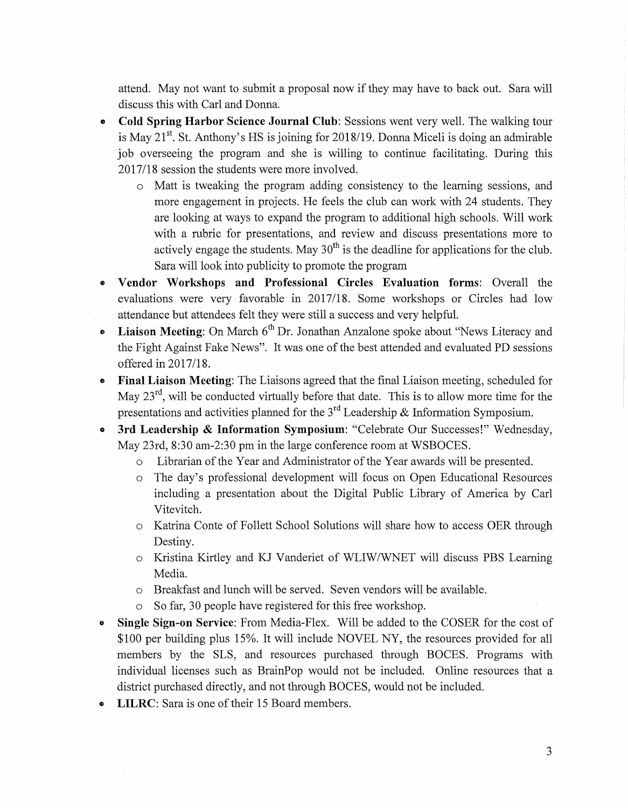attend. May not want to submit a proposal now if they may have to back out. Sara will discuss this with Carl and Donna.

- **Cold Spring Harbor Science Journal Club:** Sessions went very well. The walking tour is May  $21^{st}$ . St. Anthony's HS is joining for 2018/19. Donna Miceli is doing an admirable job overseeing the program and she is willing to continue facilitating. During this 2017/18 session the students were more involved.
	- o Matt is tweaking the program adding consistency to the learning sessions, and more engagement in projects. He feels the club can work with 24 students. They are looking at ways to expand the program to additional high schools. Will work with a rubric for presentations, and review and discuss presentations more to actively engage the students. May  $30<sup>th</sup>$  is the deadline for applications for the club. Sara will look into publicity to promote the program
- **Vendor Workshops and Professional Circles Evaluation forms:** Overall the evaluations were very favorable in 2017/18. Some workshops or Circles had low attendance but attendees felt they were still a success and very helpful.
- Liaison Meeting: On March 6<sup>th</sup> Dr. Jonathan Anzalone spoke about "News Literacy and the Fight Against Fake News". It was one of the best attended and evaluated PD sessions offered in 2017/18.
- **Final Liaison Meeting:** The Liaisons agreed that the final Liaison meeting, scheduled for May  $23<sup>rd</sup>$ , will be conducted virtually before that date. This is to allow more time for the presentations and activities planned for the  $3<sup>rd</sup>$  Leadership & Information Symposium.
- **3rd Leadership & Information Symposium:** "Celebrate Our Successes!" Wednesday, May 23rd, 8:30 am-2:30 pm in the large conference room at WSBOCES.
	- o Librarian of the Year and Administrator of the Year awards will be presented.
	- o The day's professional development will focus on Open Educational Resources including a presentation about the Digital Public Library of America by Carl Vitevitch.
	- o Katrina Conte of Follett School Solutions will share how to access OER through Destiny.
	- o Kristina Kirtley and KJ Vanderiet of WLIW/WNET will discuss PBS Learning Media.
	- o Breakfast and lunch will be served. Seven vendors will be available.
	- So far, 30 people have registered for this free workshop.
- **Single Sign-on Service:** From Media-Flex. Will be added to the COSER for the cost of \$100 per building plus 15%. It will include NOVEL NY, the resources provided for all members by the SLS, and resources purchased through BOCES. Programs with individual licenses such as BrainPop would not be included. Online resources that a district purchased directly, and not through BOCES, would not be included.
- **LILRC**: Sara is one of their 15 Board members.